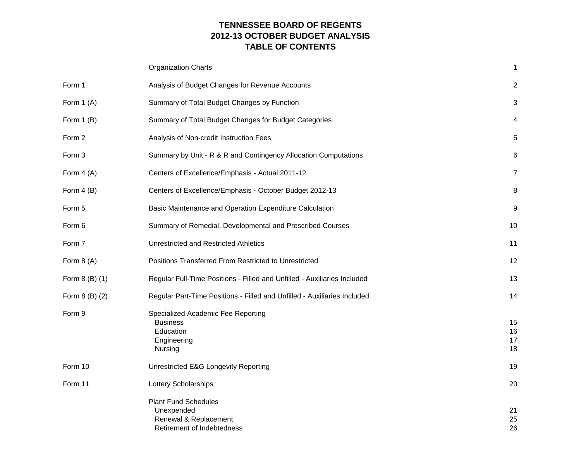# **TENNESSEE BOARD OF REGENTS 2012-13 OCTOBER BUDGET ANALYSIS TABLE OF CONTENTS**

|                | <b>Organization Charts</b>                                                                       | 1                       |
|----------------|--------------------------------------------------------------------------------------------------|-------------------------|
| Form 1         | Analysis of Budget Changes for Revenue Accounts                                                  | $\overline{\mathbf{c}}$ |
| Form $1(A)$    | Summary of Total Budget Changes by Function                                                      | 3                       |
| Form $1(B)$    | Summary of Total Budget Changes for Budget Categories                                            | 4                       |
| Form 2         | Analysis of Non-credit Instruction Fees                                                          | 5                       |
| Form 3         | Summary by Unit - R & R and Contingency Allocation Computations                                  | 6                       |
| Form $4(A)$    | Centers of Excellence/Emphasis - Actual 2011-12                                                  | $\overline{7}$          |
| Form $4(B)$    | Centers of Excellence/Emphasis - October Budget 2012-13                                          | 8                       |
| Form 5         | Basic Maintenance and Operation Expenditure Calculation                                          | 9                       |
| Form 6         | Summary of Remedial, Developmental and Prescribed Courses                                        | 10                      |
| Form 7         | Unrestricted and Restricted Athletics                                                            | 11                      |
| Form $8(A)$    | Positions Transferred From Restricted to Unrestricted                                            | 12                      |
| Form 8 (B) (1) | Regular Full-Time Positions - Filled and Unfilled - Auxiliaries Included                         | 13                      |
| Form 8 (B) (2) | Regular Part-Time Positions - Filled and Unfilled - Auxiliaries Included                         | 14                      |
| Form 9         | Specialized Academic Fee Reporting<br><b>Business</b><br>Education<br>Engineering<br>Nursing     | 15<br>16<br>17<br>18    |
| Form 10        | Unrestricted E&G Longevity Reporting                                                             | 19                      |
| Form 11        | Lottery Scholarships                                                                             | 20                      |
|                | <b>Plant Fund Schedules</b><br>Unexpended<br>Renewal & Replacement<br>Retirement of Indebtedness | 21<br>25<br>26          |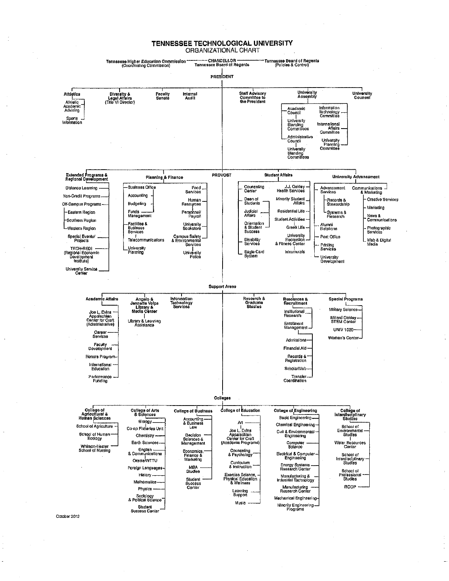#### TENNESSEE TECHNOLOGICAL UNIVERSITY ORGANIZATIONAL CHART



October 2012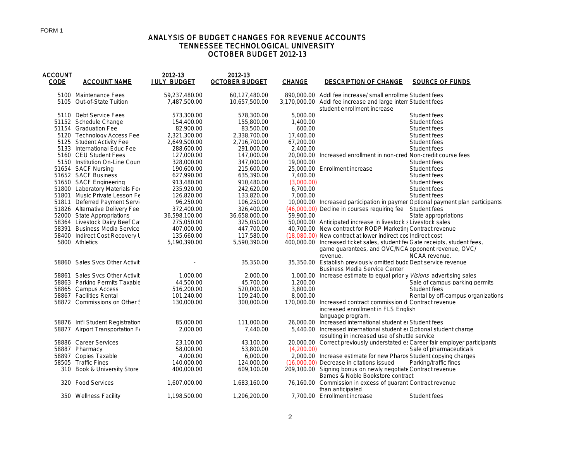### ANALYSIS OF BUDGET CHANGES FOR REVENUE ACCOUNTS TENNESSEE TECHNOLOGICAL UNIVERSITY OCTOBER BUDGET 2012-13

| <b>ACCOUNT</b><br><b>CODE</b> | <b>ACCOUNT NAME</b>              | 2012-13<br><b>JULY BUDGET</b> | 2012-13<br><b>OCTOBER BUDGET</b> | <b>CHANGE</b> | <b>DESCRIPTION OF CHANGE</b>                                                                                                       | <b>SOURCE OF FUNDS</b>                                                         |
|-------------------------------|----------------------------------|-------------------------------|----------------------------------|---------------|------------------------------------------------------------------------------------------------------------------------------------|--------------------------------------------------------------------------------|
|                               | 5100 Maintenance Fees            | 59,237,480.00                 | 60,127,480.00                    |               | 890,000.00 Addl fee increase/ small enrollme Student fees                                                                          |                                                                                |
|                               | 5105 Out-of-State Tuition        | 7,487,500.00                  | 10,657,500.00                    |               | 3,170,000.00 Addl fee increase and large interr Student fees<br>student enrollment increase                                        |                                                                                |
|                               | 5110 Debt Service Fees           | 573,300.00                    | 578,300.00                       | 5,000.00      |                                                                                                                                    | Student fees                                                                   |
|                               | 51152 Schedule Change            | 154,400.00                    | 155,800.00                       | 1,400.00      |                                                                                                                                    | Student fees                                                                   |
|                               | 51154 Graduation Fee             | 82,900.00                     | 83,500.00                        | 600.00        |                                                                                                                                    | Student fees                                                                   |
|                               | 5120 Technology Access Fee       | 2,321,300.00                  | 2,338,700.00                     | 17,400.00     |                                                                                                                                    | Student fees                                                                   |
|                               | 5125 Student Activity Fee        | 2,649,500.00                  | 2,716,700.00                     | 67,200.00     |                                                                                                                                    | Student fees                                                                   |
|                               | 5133 International Educ Fee      | 288,600.00                    | 291,000.00                       | 2,400.00      |                                                                                                                                    | Student fees                                                                   |
|                               | 5160 CEU Student Fees            | 127,000.00                    | 147,000.00                       |               | 20,000.00 Increased enrollment in non-credi Non-credit course fees                                                                 |                                                                                |
|                               | 5150 Institution On-Line Cour:   | 328,000.00                    | 347,000.00                       | 19,000.00     |                                                                                                                                    | Student fees                                                                   |
|                               | 51654 SACF Nursing               | 190.600.00                    | 215,600.00                       |               | 25,000.00 Enrollment increase                                                                                                      | Student fees                                                                   |
|                               | 51652 SACF Business              | 627,990.00                    | 635,390.00                       | 7,400.00      |                                                                                                                                    | Student fees                                                                   |
|                               | 51650 SACF Engineering           | 913,480.00                    | 910,480.00                       | (3,000.00)    |                                                                                                                                    | Student fees                                                                   |
|                               | 51800 Laboratory Materials Fer   | 235,920.00                    | 242,620.00                       | 6,700.00      |                                                                                                                                    | Student fees                                                                   |
|                               | 51801 Music Private Lesson Fe    | 126,820.00                    | 133,820.00                       | 7.000.00      |                                                                                                                                    | Student fees                                                                   |
|                               | 51811 Deferred Payment Servi     | 96,250.00                     | 106,250.00                       |               |                                                                                                                                    | 10,000.00 Increased participation in paymer Optional payment plan participants |
|                               | 51826 Alternative Delivery Fee   | 372,400.00                    | 326,400.00                       |               | (46,000.00) Decline in courses requiring fee Student fees                                                                          |                                                                                |
|                               | 52000 State Appropriations       | 36,598,100.00                 | 36,658,000.00                    | 59,900.00     |                                                                                                                                    | State appropriations                                                           |
|                               | 58364 Livestock Dairy Beef Ca    | 275,050.00                    | 325,050.00                       |               | 50,000.00 Anticipated increase in livestock s Livestock sales                                                                      |                                                                                |
|                               | 58391 Business Media Service     | 407,000.00                    | 447,700.00                       |               | 40,700.00 New contract for RODP Marketing Contract revenue                                                                         |                                                                                |
|                               | 58400 Indirect Cost Recovery L   | 135,660.00                    | 117,580.00                       |               | (18,080.00) New contract at lower indirect cos Indirect cost                                                                       |                                                                                |
|                               | 5800 Athletics                   | 5,190,390.00                  | 5,590,390.00                     |               | 400,000.00 Increased ticket sales, student fee Gate receipts, student fees,<br>game guarantees, and OVC/NCA opponent revenue, OVC/ |                                                                                |
|                               |                                  |                               |                                  |               | revenue.                                                                                                                           | NCAA revenue.                                                                  |
|                               | 58860 Sales Sycs Other Activit   |                               | 35,350.00                        |               | 35,350.00 Establish previously omitted budg Dept service revenue<br><b>Business Media Service Center</b>                           |                                                                                |
|                               | 58861 Sales Sycs Other Activit   | 1,000.00                      | 2,000.00                         |               | 1,000.00 Increase estimate to equal prior y <i>Visions</i> advertising sales                                                       |                                                                                |
|                               | 58863 Parking Permits Taxable    | 44,500.00                     | 45,700.00                        | 1,200.00      |                                                                                                                                    | Sale of campus parking permits                                                 |
|                               | 58865 Campus Access              | 516,200.00                    | 520,000.00                       | 3,800.00      |                                                                                                                                    | Student fees                                                                   |
|                               | 58867 Facilities Rental          | 101,240.00                    | 109,240.00                       | 8,000.00      |                                                                                                                                    | Rental by off-campus organizations                                             |
|                               | 58872 Commissions on Other!      | 130,000.00                    | 300,000.00                       |               | 170,000.00 Increased contract commission di Contract revenue<br>increased enrollment in FLS English<br>language program.           |                                                                                |
|                               | 58876 Int'l Student Registration | 85,000.00                     | 111,000.00                       |               | 26,000.00 Increased international student er Student fees                                                                          |                                                                                |
|                               | 58877 Airport Transportation Fo  | 2.000.00                      | 7,440.00                         |               | 5,440.00 Increased international student er Optional student charge                                                                |                                                                                |
|                               |                                  |                               |                                  |               |                                                                                                                                    |                                                                                |
|                               | 58886 Career Services            | 23,100.00                     | 43,100.00                        |               | resulting in increased use of shuttle service                                                                                      | 20,000.00 Correct previously understated es Career fair employer participants  |
|                               | 58887 Pharmacy                   | 58,000.00                     | 53,800.00                        | (4,200.00)    |                                                                                                                                    | Sale of pharmaceuticals                                                        |
|                               | 58897 Copies Taxable             | 4,000.00                      | 6,000.00                         |               | 2,000.00 Increase estimate for new Pharos Student copying charges                                                                  |                                                                                |
|                               | 58505 Traffic Fines              | 140,000.00                    | 124,000.00                       |               | (16,000.00) Decrease in citations issued                                                                                           | Parking/traffic fines                                                          |
|                               | 310 Book & University Store      | 400,000.00                    | 609,100.00                       |               | 209,100.00 Signing bonus on newly negotiate Contract revenue                                                                       |                                                                                |
|                               |                                  |                               |                                  |               | Barnes & Noble Bookstore contract                                                                                                  |                                                                                |
|                               | 320 Food Services                | 1.607.000.00                  | 1,683,160.00                     |               | 76,160.00 Commission in excess of guarant Contract revenue<br>than anticipated                                                     |                                                                                |
|                               | 350 Wellness Facility            | 1.198.500.00                  | 1,206,200.00                     |               | 7.700.00 Enrollment increase                                                                                                       | Student fees                                                                   |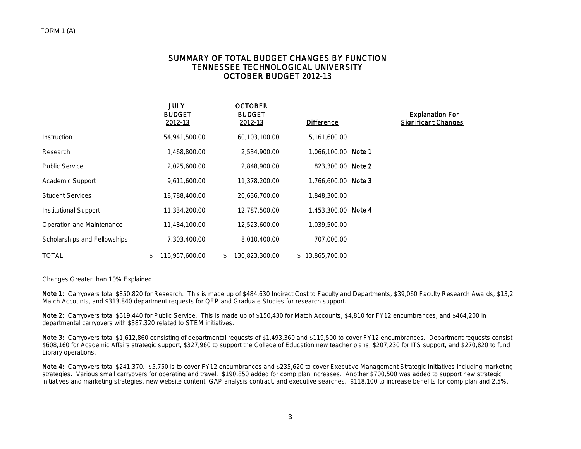### SUMMARY OF TOTAL BUDGET CHANGES BY FUNCTION TENNESSEE TECHNOLOGICAL UNIVERSITY OCTOBER BUDGET 2012-13

|                              | <b>JULY</b><br><b>BUDGET</b><br>2012-13 | <b>OCTOBER</b><br><b>BUDGET</b><br>2012-13 | <b>Difference</b>   | <b>Explanation For</b><br><b>Significant Changes</b> |
|------------------------------|-----------------------------------------|--------------------------------------------|---------------------|------------------------------------------------------|
| Instruction                  | 54,941,500.00                           | 60,103,100.00                              | 5,161,600.00        |                                                      |
| Research                     | 1,468,800.00                            | 2,534,900.00                               | 1,066,100.00 Note 1 |                                                      |
| <b>Public Service</b>        | 2,025,600.00                            | 2,848,900.00                               | 823,300.00 Note 2   |                                                      |
| Academic Support             | 9,611,600.00                            | 11,378,200.00                              | 1,766,600.00 Note 3 |                                                      |
| <b>Student Services</b>      | 18,788,400.00                           | 20,636,700.00                              | 1,848,300.00        |                                                      |
| Institutional Support        | 11,334,200.00                           | 12,787,500.00                              | 1.453.300.00 Note 4 |                                                      |
| Operation and Maintenance    | 11,484,100.00                           | 12,523,600.00                              | 1,039,500.00        |                                                      |
| Scholarships and Fellowships | 7,303,400.00                            | 8,010,400.00                               | 707,000.00          |                                                      |
| <b>TOTAL</b>                 | 116,957,600.00                          | 130,823,300.00<br>\$                       | \$13,865,700.00     |                                                      |

Changes Greater than 10% Explained

Note 1: Carryovers total \$850,820 for Research. This is made up of \$484,630 Indirect Cost to Faculty and Departments, \$39,060 Faculty Research Awards, \$13,2<sup>0</sup> Match Accounts, and \$313,840 department requests for QEP and Graduate Studies for research support.

Note 2: Carryovers total \$619,440 for Public Service. This is made up of \$150,430 for Match Accounts, \$4,810 for FY12 encumbrances, and \$464,200 in departmental carryovers with \$387,320 related to STEM initiatives.

Note 3: Carryovers total \$1,612,860 consisting of departmental requests of \$1,493,360 and \$119,500 to cover FY12 encumbrances. Department requests consist \$608,160 for Academic Affairs strategic support, \$327,960 to support the College of Education new teacher plans, \$207,230 for ITS support, and \$270,820 to fund Library operations.

Note 4: Carryovers total \$241,370. \$5,750 is to cover FY12 encumbrances and \$235,620 to cover Executive Management Strategic Initiatives including marketing strategies. Various small carryovers for operating and travel. \$190,850 added for comp plan increases. Another \$700,500 was added to support new strategic initiatives and marketing strategies, new website content, GAP analysis contract, and executive searches. \$118,100 to increase benefits for comp plan and 2.5%.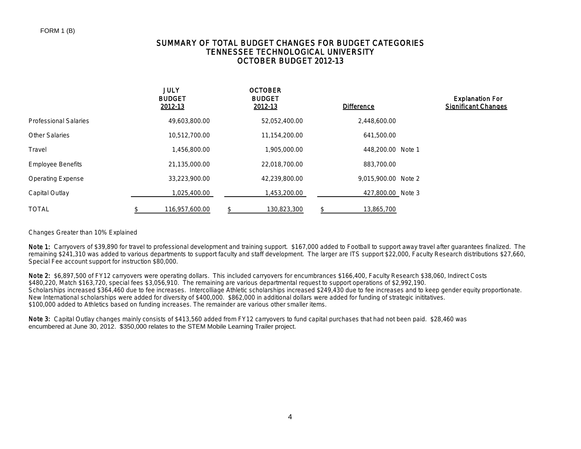## SUMMARY OF TOTAL BUDGET CHANGES FOR BUDGET CATEGORIES TENNESSEE TECHNOLOGICAL UNIVERSITY OCTOBER BUDGET 2012-13

|                              | <b>JULY</b><br><b>BUDGET</b><br>2012-13 |     | <b>OCTOBER</b><br><b>BUDGET</b><br>2012-13 | <b>Difference</b>   | <b>Explanation For</b><br><b>Significant Changes</b> |
|------------------------------|-----------------------------------------|-----|--------------------------------------------|---------------------|------------------------------------------------------|
| <b>Professional Salaries</b> | 49,603,800.00                           |     | 52,052,400.00                              | 2,448,600.00        |                                                      |
| <b>Other Salaries</b>        | 10,512,700.00                           |     | 11,154,200.00                              | 641,500.00          |                                                      |
| Travel                       | 1,456,800.00                            |     | 1,905,000.00                               | 448,200.00 Note 1   |                                                      |
| <b>Employee Benefits</b>     | 21,135,000.00                           |     | 22,018,700.00                              | 883,700.00          |                                                      |
| <b>Operating Expense</b>     | 33,223,900.00                           |     | 42,239,800.00                              | 9.015.900.00 Note 2 |                                                      |
| Capital Outlay               | 1,025,400.00                            |     | 1,453,200.00                               | 427,800.00 Note 3   |                                                      |
| <b>TOTAL</b>                 | 116,957,600.00                          | \$. | 130,823,300                                | \$<br>13,865,700    |                                                      |

### Changes Greater than 10% Explained

Note 1: Carryovers of \$39,890 for travel to professional development and training support. \$167,000 added to Football to support away travel after quarantees finalized. The remaining \$241,310 was added to various departments to support faculty and staff development. The larger are ITS support \$22,000, Faculty Research distributions \$27,660, Special Fee account support for instruction \$80,000.

Note 2: \$6,897,500 of FY12 carryovers were operating dollars. This included carryovers for encumbrances \$166,400, Faculty Research \$38,060, Indirect Costs \$480,220, Match \$163,720, special fees \$3,056,910. The remaining are various departmental request to support operations of \$2,992,190. Scholarships increased \$364,460 due to fee increases. Intercolliage Athletic scholarships increased \$249,430 due to fee increases and to keep gender equity proportionate. New International scholarships were added for diversity of \$400,000. \$862,000 in additional dollars were added for funding of strategic inititatives. \$100,000 added to Athletics based on funding increases. The remainder are various other smaller items.

Note 3: Capital Outlay changes mainly consists of \$413,560 added from FY12 carryovers to fund capital purchases that had not been paid. \$28,460 was encumbered at June 30, 2012. \$350,000 relates to the STEM Mobile Learning Trailer project.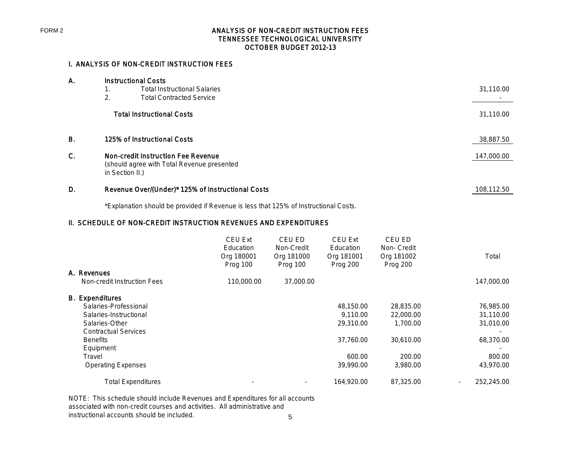### ANALYSIS OF NON-CREDIT INSTRUCTION FEES TENNESSEE TECHNOLOGICAL UNIVERSITY OCTOBER BUDGET 2012-13

## I. ANALYSIS OF NON-CREDIT INSTRUCTION FEES

| А. |                             | <b>Instructional Costs</b>                        |            |
|----|-----------------------------|---------------------------------------------------|------------|
|    | 1.                          | <b>Total Instructional Salaries</b>               | 31,110.00  |
|    | 2.                          | <b>Total Contracted Service</b>                   |            |
|    |                             | <b>Total Instructional Costs</b>                  | 31,110.00  |
| Β. | 125% of Instructional Costs |                                                   | 38,887.50  |
| C. |                             | <b>Non-credit Instruction Fee Revenue</b>         | 147,000.00 |
|    |                             | (should agree with Total Revenue presented        |            |
|    |                             | in Section II.)                                   |            |
| D. |                             | Revenue Over/(Under)* 125% of Instructional Costs | 108,112.50 |
|    |                             |                                                   |            |

\*Explanation should be provided if Revenue is less that 125% of Instructional Costs.

## II. SCHEDULE OF NON-CREDIT INSTRUCTION REVENUES AND EXPENDITURES

|                             | <b>CEU Ext</b><br>Education<br>Org 180001<br>Prog 100 | CEU ED<br>Non-Credit<br>Org 181000<br>Prog 100 | <b>CEU Ext</b><br>Education<br>Org 181001<br>Prog 200 | CEU ED<br>Non- Credit<br>Org 181002<br>Prog 200 | Total                                  |
|-----------------------------|-------------------------------------------------------|------------------------------------------------|-------------------------------------------------------|-------------------------------------------------|----------------------------------------|
| A. Revenues                 |                                                       |                                                |                                                       |                                                 |                                        |
| Non-credit Instruction Fees | 110,000.00                                            | 37,000.00                                      |                                                       |                                                 | 147,000.00                             |
| <b>B.</b> Expenditures      |                                                       |                                                |                                                       |                                                 |                                        |
| Salaries-Professional       |                                                       |                                                | 48,150.00                                             | 28,835.00                                       | 76,985.00                              |
| Salaries-Instructional      |                                                       |                                                | 9.110.00                                              | 22,000.00                                       | 31,110.00                              |
| Salaries-Other              |                                                       |                                                | 29,310.00                                             | 1,700.00                                        | 31,010.00                              |
| <b>Contractual Services</b> |                                                       |                                                |                                                       |                                                 |                                        |
| <b>Benefits</b>             |                                                       |                                                | 37,760.00                                             | 30,610.00                                       | 68,370.00                              |
| Equipment                   |                                                       |                                                |                                                       |                                                 |                                        |
| Travel                      |                                                       |                                                | 600.00                                                | 200.00                                          | 800.00                                 |
| <b>Operating Expenses</b>   |                                                       |                                                | 39,990.00                                             | 3,980.00                                        | 43,970.00                              |
| <b>Total Expenditures</b>   |                                                       |                                                | 164,920.00                                            | 87,325.00                                       | 252,245.00<br>$\overline{\phantom{a}}$ |

5 NOTE: This schedule should include Revenues and Expenditures for all accounts associated with non-credit courses and activities. All administrative and instructional accounts should be included.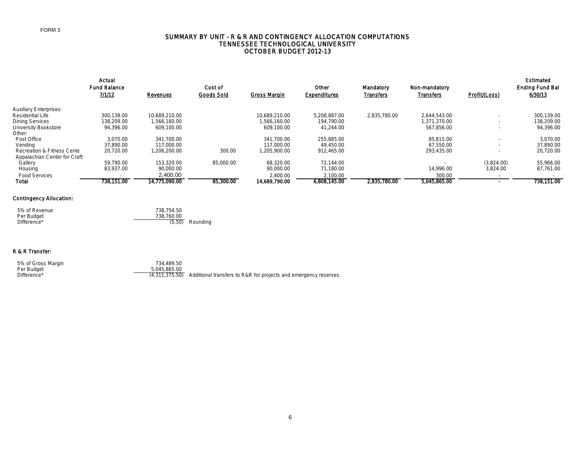#### FORM 3

#### SUMMARY BY UNIT - R & R AND CONTINGENCY ALLOCATION COMPUTATIONS TENNESSEE TECHNOLOGICAL UNIVERSITY OCTOBER BUDGET 2012-13

|                                       | Actual              |               |            |               |                     |                  |                  |                          | Estimated              |
|---------------------------------------|---------------------|---------------|------------|---------------|---------------------|------------------|------------------|--------------------------|------------------------|
|                                       | <b>Fund Balance</b> |               | Cost of    |               | Other               | Mandatory        | Non-mandatory    |                          | <b>Ending Fund Bal</b> |
|                                       | 7/1/12              | Revenues      | Goods Sold | Gross Margin  | <b>Expenditures</b> | <b>Transfers</b> | <b>Transfers</b> | Profit/(Loss)            | 6/30/13                |
| <b>Auxiliary Enterprises:</b>         |                     |               |            |               |                     |                  |                  |                          |                        |
| Residential Life                      | 300.139.00          | 10.689.210.00 |            | 10.689.210.00 | 5.208.887.00        | 2.835.780.00     | 2.644.543.00     | ٠                        | 300.139.00             |
| Dining Services                       | 138,209.00          | 1,566,160.00  |            | 1,566,160.00  | 194,790.00          |                  | 1,371,370.00     | $\overline{\phantom{a}}$ | 138,209.00             |
| University Bookstore                  | 94,396.00           | 609,100.00    |            | 609.100.00    | 41,244.00           |                  | 567,856.00       | ۰                        | 94,396.00              |
| Other:                                |                     |               |            |               |                     |                  |                  |                          |                        |
| Post Office                           | 3.070.00            | 341.700.00    |            | 341,700.00    | 255,885.00          |                  | 85.815.00        |                          | 3,070.00               |
| Vendina                               | 37,890.00           | 117.000.00    |            | 117,000.00    | 49.450.00           |                  | 67.550.00        | $\overline{\phantom{a}}$ | 37,890.00              |
| <b>Recreation &amp; Fitness Cente</b> | 20,720.00           | 1,206,200.00  | 300.00     | 1,205,900.00  | 912,465.00          |                  | 293,435.00       |                          | 20,720.00              |
| Appalachian Center for Craft:         |                     |               |            |               |                     |                  |                  |                          |                        |
| Gallery                               | 59,790.00           | 153.320.00    | 85,000.00  | 68,320.00     | 72.144.00           |                  |                  | (3,824.00)               | 55,966.00              |
| Housing                               | 83.937.00           | 90,000.00     |            | 90,000.00     | 71,180.00           |                  | 14.996.00        | 3,824.00                 | 87,761.00              |
| <b>Food Services</b>                  |                     | 2,400.00      |            | 2,400.00      | 2,100.00            |                  | 300.00           |                          |                        |
| Total                                 | 738.151.00          | 14.775.090.00 | 85,300.00  | 14.689.790.00 | 6.808.145.00        | 2.835.780.00     | 5.045.865.00     |                          | 738.151.00             |

### Contingency Allocation:

| 5% of Revenue | 738.754.50        |
|---------------|-------------------|
| Per Budget    | 738.760.00        |
| Difference*   | $(5.50)$ Rounding |

#### R & R Transfer:

 5% of Gross Margin 734,489.50 Per Budget 5,045,865.00

0,040,000.00<br>(4,311,375.50) Additional transfers to R&R for projects and emergency reserves.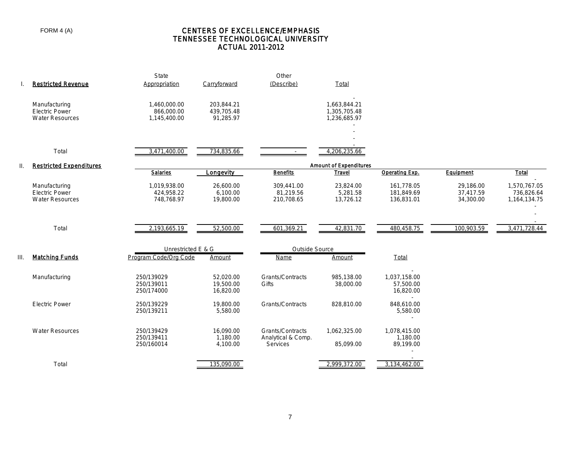### CENTERS OF EXCELLENCE/EMPHASIS TENNESSEE TECHNOLOGICAL UNIVERSITY ACTUAL 2011-2012

|      | <b>Restricted Revenue</b>                                        | State<br>Appropriation                     | Carryforward                          | Other<br>(Describe)                                       | Total                                        |                                                                                |                                     |                                            |
|------|------------------------------------------------------------------|--------------------------------------------|---------------------------------------|-----------------------------------------------------------|----------------------------------------------|--------------------------------------------------------------------------------|-------------------------------------|--------------------------------------------|
|      | Manufacturing<br><b>Electric Power</b><br><b>Water Resources</b> | 1,460,000.00<br>866,000.00<br>1,145,400.00 | 203,844.21<br>439,705.48<br>91,285.97 |                                                           | 1,663,844.21<br>1,305,705.48<br>1,236,685.97 |                                                                                |                                     |                                            |
|      | Total                                                            | 3,471,400.00                               | 734,835.66                            |                                                           | 4,206,235.66                                 |                                                                                |                                     |                                            |
| II.  | <b>Restricted Expenditures</b>                                   | <b>Salaries</b>                            | Longevity                             | <b>Benefits</b>                                           | <b>Amount of Expenditures</b><br>Travel      | Operating Exp.                                                                 | Equipment                           | <b>Total</b>                               |
|      | Manufacturing<br><b>Electric Power</b><br><b>Water Resources</b> | 1,019,938.00<br>424,958.22<br>748,768.97   | 26,600.00<br>6,100.00<br>19,800.00    | 309,441.00<br>81,219.56<br>210,708.65                     | 23,824.00<br>5,281.58<br>13,726.12           | 161,778.05<br>181,849.69<br>136,831.01                                         | 29,186.00<br>37,417.59<br>34,300.00 | 1,570,767.05<br>736,826.64<br>1,164,134.75 |
|      | Total                                                            | 2,193,665.19                               | 52,500.00                             | 601,369.21                                                | 42,831.70                                    | 480,458.75                                                                     | 100,903.59                          | 3,471,728.44                               |
|      |                                                                  | Unrestricted E & G                         |                                       | Outside Source                                            |                                              |                                                                                |                                     |                                            |
| III. | <b>Matching Funds</b>                                            | Program Code/Org Code                      | Amount                                | Name                                                      | Amount                                       | Total                                                                          |                                     |                                            |
|      | Manufacturing                                                    | 250/139029<br>250/139011<br>250/174000     | 52.020.00<br>19,500.00<br>16,820.00   | <b>Grants/Contracts</b><br>Gifts                          | 985.138.00<br>38,000.00                      | 1.037.158.00<br>57,500.00<br>16,820.00                                         |                                     |                                            |
|      | <b>Electric Power</b>                                            | 250/139229<br>250/139211                   | 19,800.00<br>5,580.00                 | <b>Grants/Contracts</b>                                   | 828,810.00                                   | $\overline{\phantom{a}}$<br>848,610.00<br>5,580.00<br>$\overline{\phantom{a}}$ |                                     |                                            |
|      | <b>Water Resources</b>                                           | 250/139429<br>250/139411<br>250/160014     | 16,090.00<br>1,180.00<br>4,100.00     | Grants/Contracts<br>Analytical & Comp.<br><b>Services</b> | 1,062,325.00<br>85,099.00                    | 1,078,415.00<br>1,180.00<br>89,199.00                                          |                                     |                                            |
|      | Total                                                            |                                            | 135,090.00                            |                                                           | 2,999,372.00                                 | 3,134,462.00                                                                   |                                     |                                            |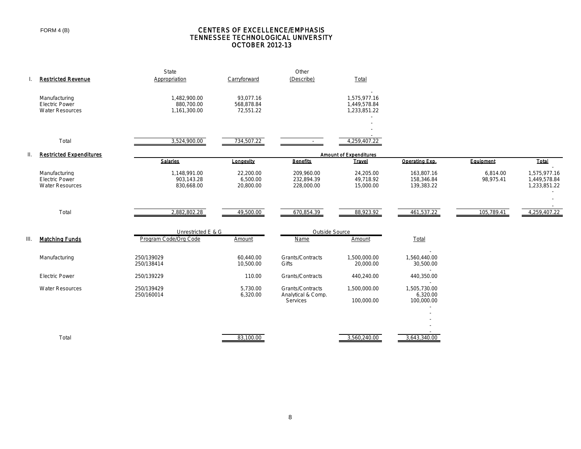FORM 4 (B)

#### CENTERS OF EXCELLENCE/EMPHASIS TENNESSEE TECHNOLOGICAL UNIVERSITY OCTOBER 2012-13

|     |                                                                  | State                                      |                                      | Other                                              |                                              |                                                  |                       |                                              |
|-----|------------------------------------------------------------------|--------------------------------------------|--------------------------------------|----------------------------------------------------|----------------------------------------------|--------------------------------------------------|-----------------------|----------------------------------------------|
|     | <b>Restricted Revenue</b>                                        | Appropriation                              | Carryforward                         | (Describe)                                         | Total                                        |                                                  |                       |                                              |
|     | Manufacturing<br><b>Electric Power</b><br><b>Water Resources</b> | 1,482,900.00<br>880,700.00<br>1,161,300.00 | 93,077.16<br>568,878.84<br>72,551.22 |                                                    | 1,575,977.16<br>1,449,578.84<br>1,233,851.22 |                                                  |                       |                                              |
|     | Total                                                            | 3,524,900.00                               | 734,507.22                           | <b>Contract</b>                                    | 4,259,407.22                                 |                                                  |                       |                                              |
|     |                                                                  |                                            |                                      |                                                    |                                              |                                                  |                       |                                              |
| II. | <b>Restricted Expenditures</b>                                   |                                            |                                      |                                                    | <b>Amount of Expenditures</b>                |                                                  |                       |                                              |
|     |                                                                  | <b>Salaries</b>                            | Longevity                            | <b>Benefits</b>                                    | <b>Travel</b>                                | Operating Exp.                                   | Equipment             | <b>Total</b>                                 |
|     | Manufacturing<br><b>Electric Power</b><br><b>Water Resources</b> | 1,148,991.00<br>903,143.28<br>830,668.00   | 22,200.00<br>6,500.00<br>20,800.00   | 209,960.00<br>232,894.39<br>228,000.00             | 24,205.00<br>49,718.92<br>15,000.00          | 163,807.16<br>158,346.84<br>139,383.22           | 6,814.00<br>98,975.41 | 1,575,977.16<br>1,449,578.84<br>1,233,851.22 |
|     |                                                                  |                                            |                                      |                                                    |                                              |                                                  |                       |                                              |
|     | Total                                                            | 2,882,802.28                               | 49,500.00                            | 670,854.39                                         | 88,923.92                                    | 461,537.22                                       | 105,789.41            | 4,259,407.22                                 |
|     |                                                                  | Unrestricted E & G                         |                                      | Outside Source                                     |                                              |                                                  |                       |                                              |
| Ш.  | <b>Matching Funds</b>                                            | Program Code/Org Code                      | Amount                               | <b>Name</b>                                        | Amount                                       | Total                                            |                       |                                              |
|     | Manufacturing                                                    | 250/139029<br>250/138414                   | 60,440.00<br>10,500.00               | Grants/Contracts<br>Gifts                          | 1,500,000.00<br>20,000.00                    | 1,560,440.00<br>30,500.00<br>$\sim$              |                       |                                              |
|     | <b>Electric Power</b>                                            | 250/139229                                 | 110.00                               | Grants/Contracts                                   | 440,240.00                                   | 440,350.00                                       |                       |                                              |
|     | <b>Water Resources</b>                                           | 250/139429<br>250/160014                   | 5,730.00<br>6,320.00                 | Grants/Contracts<br>Analytical & Comp.<br>Services | 1,500,000.00<br>100,000.00                   | $\sim$<br>1,505,730.00<br>6,320.00<br>100,000.00 |                       |                                              |
|     |                                                                  |                                            |                                      |                                                    |                                              |                                                  |                       |                                              |
|     | Total                                                            |                                            | 83,100.00                            |                                                    | 3,560,240.00                                 | 3,643,340.00                                     |                       |                                              |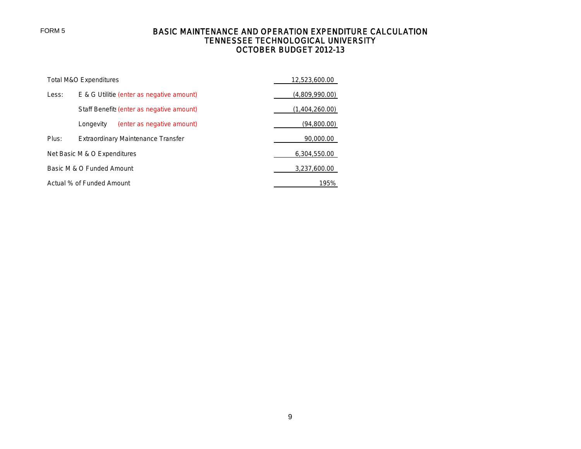# BASIC MAINTENANCE AND OPERATION EXPENDITURE CALCULATION TENNESSEE TECHNOLOGICAL UNIVERSITY OCTOBER BUDGET 2012-13

|                           | Total M&O Expenditures                    |                |  |  |  |  |  |
|---------------------------|-------------------------------------------|----------------|--|--|--|--|--|
| Less:                     | E & G Utilitie (enter as negative amount) | (4,809,990.00) |  |  |  |  |  |
|                           | Staff Benefits (enter as negative amount) | (1,404,260.00) |  |  |  |  |  |
|                           | (enter as negative amount)<br>Longevity   | (94,800.00)    |  |  |  |  |  |
| Plus:                     | Extraordinary Maintenance Transfer        | 90,000.00      |  |  |  |  |  |
|                           | Net Basic M & O Expenditures              | 6,304,550.00   |  |  |  |  |  |
| Basic M & O Funded Amount | 3,237,600.00                              |                |  |  |  |  |  |
| Actual % of Funded Amount | 195%                                      |                |  |  |  |  |  |

FORM 5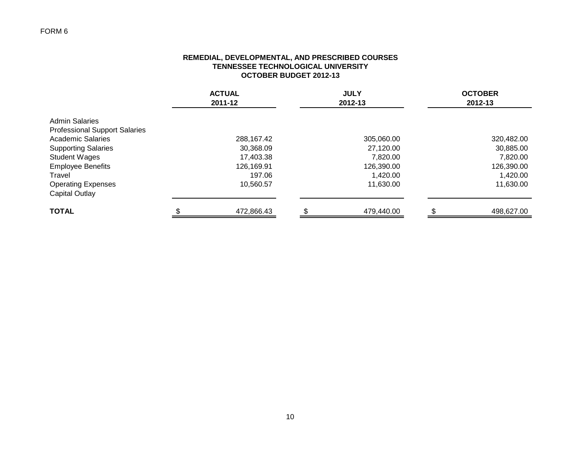# FORM 6

### **REMEDIAL, DEVELOPMENTAL, AND PRESCRIBED COURSES TENNESSEE TECHNOLOGICAL UNIVERSITY OCTOBER BUDGET 2012-13**

|                                      | <b>ACTUAL</b><br>2011-12 | <b>JULY</b><br>2012-13 | <b>OCTOBER</b><br>2012-13 |
|--------------------------------------|--------------------------|------------------------|---------------------------|
| <b>Admin Salaries</b>                |                          |                        |                           |
| <b>Professional Support Salaries</b> |                          |                        |                           |
| <b>Academic Salaries</b>             | 288,167.42               | 305,060.00             | 320,482.00                |
| <b>Supporting Salaries</b>           | 30,368.09                | 27,120.00              | 30,885.00                 |
| <b>Student Wages</b>                 | 17,403.38                | 7,820.00               | 7,820.00                  |
| <b>Employee Benefits</b>             | 126,169.91               | 126,390.00             | 126,390.00                |
| Travel                               | 197.06                   | 1,420.00               | 1,420.00                  |
| <b>Operating Expenses</b>            | 10,560.57                | 11,630.00              | 11,630.00                 |
| <b>Capital Outlay</b>                |                          |                        |                           |
| <b>TOTAL</b>                         | 472,866.43               | 479.440.00             | 498,627.00                |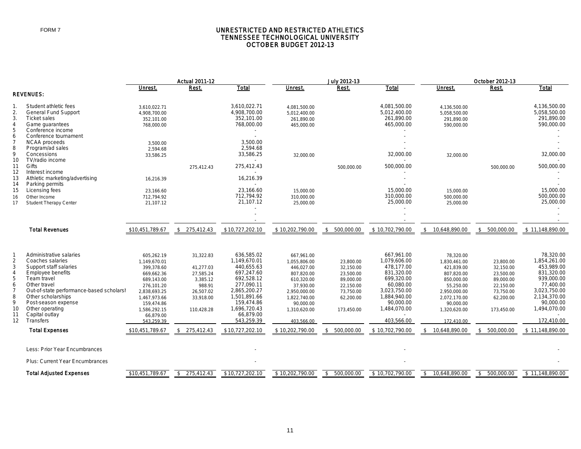#### UNRESTRICTED AND RESTRICTED ATHLETICS TENNESSEE TECHNOLOGICAL UNIVERSITY OCTOBER BUDGET 2012-13

|                                                                                                                                                                                                                                                                             |                                                                                                                                                                             | <b>Actual 2011-12</b>                                                                             |                                                                                                                                                                             |                                                                                                                                                              | July 2012-13                                                                                          |                                                                                                                                                              | October 2012-13                                                                                                                                             |                                                                                                       |                                                                                                                                                             |
|-----------------------------------------------------------------------------------------------------------------------------------------------------------------------------------------------------------------------------------------------------------------------------|-----------------------------------------------------------------------------------------------------------------------------------------------------------------------------|---------------------------------------------------------------------------------------------------|-----------------------------------------------------------------------------------------------------------------------------------------------------------------------------|--------------------------------------------------------------------------------------------------------------------------------------------------------------|-------------------------------------------------------------------------------------------------------|--------------------------------------------------------------------------------------------------------------------------------------------------------------|-------------------------------------------------------------------------------------------------------------------------------------------------------------|-------------------------------------------------------------------------------------------------------|-------------------------------------------------------------------------------------------------------------------------------------------------------------|
|                                                                                                                                                                                                                                                                             | Unrest.                                                                                                                                                                     | Rest.                                                                                             | <b>Total</b>                                                                                                                                                                | Unrest.                                                                                                                                                      | Rest.                                                                                                 | <b>Total</b>                                                                                                                                                 | Unrest.                                                                                                                                                     | Rest.                                                                                                 | <b>Total</b>                                                                                                                                                |
|                                                                                                                                                                                                                                                                             |                                                                                                                                                                             |                                                                                                   |                                                                                                                                                                             |                                                                                                                                                              |                                                                                                       |                                                                                                                                                              |                                                                                                                                                             |                                                                                                       |                                                                                                                                                             |
| Student athletic fees<br>General Fund Support<br><b>Ticket sales</b><br>Game quarantees<br>Conference income                                                                                                                                                                | 3,610,022.71<br>4,908,700.00<br>352,101.00<br>768.000.00                                                                                                                    |                                                                                                   | 3,610,022.71<br>4,908,700.00<br>352,101.00<br>768,000.00                                                                                                                    | 4,081,500.00<br>5,012,400.00<br>261,890.00<br>465.000.00                                                                                                     |                                                                                                       | 4,081,500.00<br>5,012,400.00<br>261,890.00<br>465,000.00                                                                                                     | 4,136,500.00<br>5,058,500.00<br>291,890.00<br>590.000.00                                                                                                    |                                                                                                       | 4,136,500.00<br>5,058,500.00<br>291,890.00<br>590,000.00                                                                                                    |
| <b>NCAA</b> proceeds<br>Program/ad sales<br>Concessions<br>TV/radio income<br>Gifts                                                                                                                                                                                         | 3,500.00<br>2,594.68<br>33,586.25                                                                                                                                           | 275,412.43                                                                                        | 3,500.00<br>2,594.68<br>33,586.25<br>275,412.43                                                                                                                             | 32,000.00                                                                                                                                                    | 500,000.00                                                                                            | 32,000.00<br>500,000.00                                                                                                                                      | 32,000.00                                                                                                                                                   | 500,000.00                                                                                            | 32,000.00<br>500,000.00                                                                                                                                     |
| Athletic marketing/advertising<br>Parking permits<br>Licensing fees<br>Other Income<br><b>Student Therapy Center</b>                                                                                                                                                        | 16,216.39<br>23,166.60<br>712,794.92<br>21,107.12                                                                                                                           |                                                                                                   | 16,216.39<br>23,166.60<br>712,794.92<br>21,107.12                                                                                                                           | 15,000.00<br>310,000.00<br>25.000.00                                                                                                                         |                                                                                                       | 15,000.00<br>310,000.00<br>25,000.00                                                                                                                         | 15,000.00<br>500,000.00<br>25.000.00                                                                                                                        |                                                                                                       | 15,000.00<br>500,000.00<br>25,000.00                                                                                                                        |
| <b>Total Revenues</b>                                                                                                                                                                                                                                                       | \$10,451,789.67                                                                                                                                                             | \$275,412.43                                                                                      | \$10,727,202.10                                                                                                                                                             | \$10,202,790.00                                                                                                                                              | 500,000.00<br>\$                                                                                      | \$10,702,790.00                                                                                                                                              | 10,648,890.00<br>-S                                                                                                                                         | \$ 500,000.00                                                                                         | \$11,148,890.00                                                                                                                                             |
| Administrative salaries<br>Coaches salaries<br>Support staff salaries<br><b>Employee benefits</b><br>Team travel<br>Other travel<br>Out-of-state performance-based scholarsh<br>Other scholarships<br>Post-season expense<br>Other operating<br>Capital outlay<br>Transfers | 605,262.19<br>1,149,670.01<br>399,378.60<br>669,662.36<br>689,143.00<br>276,101.20<br>2,838,693.25<br>1.467.973.66<br>159,474.86<br>1,586,292.15<br>66,879.00<br>543.259.39 | 31,322.83<br>41,277.03<br>27,585.24<br>3,385.12<br>988.91<br>26,507.02<br>33.918.00<br>110,428.28 | 636,585.02<br>1,149,670.01<br>440,655.63<br>697,247.60<br>692,528.12<br>277,090.11<br>2,865,200.27<br>1,501,891.66<br>159,474.86<br>1,696,720.43<br>66,879.00<br>543,259.39 | 667,961.00<br>1,055,806.00<br>446,027.00<br>807,820.00<br>610,320.00<br>37,930.00<br>2,950,000.00<br>1.822.740.00<br>90,000.00<br>1,310,620.00<br>403.566.00 | 23,800.00<br>32,150.00<br>23,500.00<br>89,000.00<br>22,150.00<br>73,750.00<br>62.200.00<br>173,450.00 | 667.961.00<br>1,079,606.00<br>478,177.00<br>831,320.00<br>699,320.00<br>60,080.00<br>3,023,750.00<br>1,884,940.00<br>90,000.00<br>1,484,070.00<br>403,566.00 | 78,320.00<br>1,830,461.00<br>421,839.00<br>807,820.00<br>850,000.00<br>55,250.00<br>2,950,000.00<br>2.072.170.00<br>90,000.00<br>1,320,620.00<br>172.410.00 | 23,800.00<br>32,150.00<br>23,500.00<br>89,000.00<br>22,150.00<br>73,750.00<br>62.200.00<br>173,450.00 | 78.320.00<br>1,854,261.00<br>453,989.00<br>831,320.00<br>939,000.00<br>77,400.00<br>3,023,750.00<br>2,134,370.00<br>90,000.00<br>1,494,070.00<br>172,410.00 |
|                                                                                                                                                                                                                                                                             |                                                                                                                                                                             |                                                                                                   |                                                                                                                                                                             |                                                                                                                                                              |                                                                                                       |                                                                                                                                                              |                                                                                                                                                             |                                                                                                       | \$11.148.890.00                                                                                                                                             |
| Less: Prior Year Encumbrances<br>Plus: Current Year Encumbrances<br><b>Total Adjusted Expenses</b>                                                                                                                                                                          | \$10,451,789.67                                                                                                                                                             | $\sqrt{2}$<br>275,412.43                                                                          | \$10,727,202.10                                                                                                                                                             | \$10,202,790.00                                                                                                                                              | 500,000.00<br>\$                                                                                      | \$10,702,790.00                                                                                                                                              | 10,648,890.00<br>\$                                                                                                                                         | \$500,000.00                                                                                          | \$11,148,890.00                                                                                                                                             |
|                                                                                                                                                                                                                                                                             | <b>REVENUES:</b><br>Conference tournament<br>Interest income<br><b>Total Expenses</b>                                                                                       | \$10,451,789.67                                                                                   | 275,412.43<br>S.                                                                                                                                                            | \$10,727,202.10                                                                                                                                              | \$10,202,790.00                                                                                       | 500,000.00<br>\$                                                                                                                                             | \$10,702,790.00                                                                                                                                             | 10.648.890.00<br>S.                                                                                   | 500,000.00<br>S.                                                                                                                                            |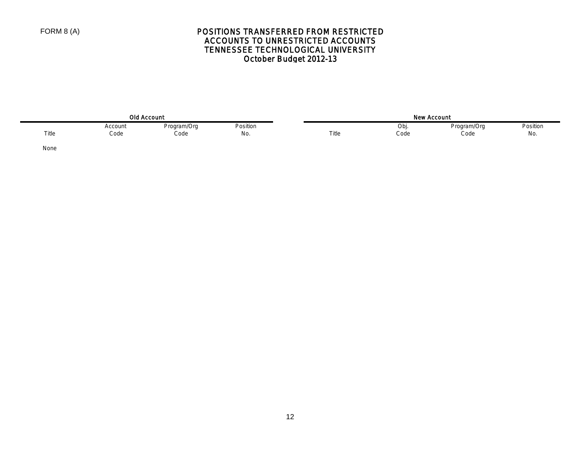# POSITIONS TRANSFERRED FROM RESTRICTED ACCOUNTS TO UNRESTRICTED ACCOUNTS TENNESSEE TECHNOLOGICAL UNIVERSITY October Budget 2012-13

| <b>Old Account</b> |                      |                     |                 | ,,,,  | <b>New Account</b> |                     |                      |
|--------------------|----------------------|---------------------|-----------------|-------|--------------------|---------------------|----------------------|
| Title              | Account<br>.<br>Code | Program/Org<br>Code | Position<br>No. | Title | Ob<br>Code         | Program/Org<br>Code | Position<br>.<br>No. |

None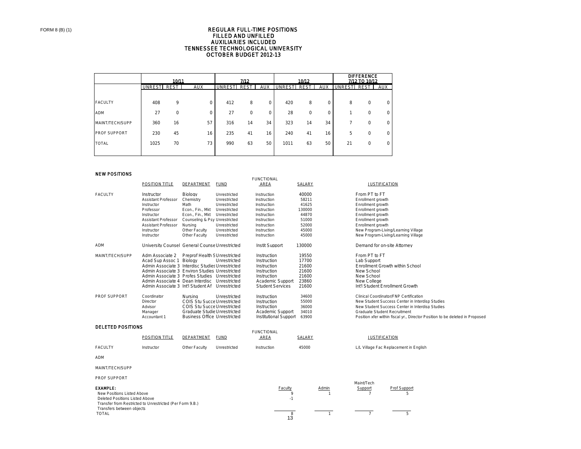#### TENNESSEE TECHNOLOGICAL UNIVERSITY OCTOBER BUDGET 2012-13 REGULAR FULL-TIME POSITIONS FILLED AND UNFILLED AUXILIARIES INCLUDED

|                     | 10/11  |             |            | 7/12          |             |            | 10/12          |             | <b>DIFFERENCE</b><br>7/12 TO 10/12 |               |          |            |
|---------------------|--------|-------------|------------|---------------|-------------|------------|----------------|-------------|------------------------------------|---------------|----------|------------|
|                     | UNREST | REST        | <b>AUX</b> | <b>UNREST</b> | <b>REST</b> | <b>AUX</b> | <b>UNRESTI</b> | <b>REST</b> | <b>AUX</b>                         | <b>UNREST</b> | REST     | <b>AUX</b> |
|                     |        |             |            |               |             |            |                |             |                                    |               |          |            |
| <b>FACULTY</b>      | 408    | 9           | 0          | 412           | 8           | 0          | 420            | 8           | 0                                  | 8             | 0        | 0          |
| <b>ADM</b>          | 27     | $\mathbf 0$ | 0          | 27            | $\mathbf 0$ | 0          | 28             | 0           | 0                                  |               | 0        | 0          |
| MAINT/TECH/SUPP     | 360    | 16          | 57         | 316           | 14          | 34         | 323            | 14          | 34                                 |               | $\Omega$ | 0          |
| <b>PROF SUPPORT</b> | 230    | 45          | 16         | 235           | 41          | 16         | 240            | 41          | 16                                 | 5             | 0        | 0          |
| <b>TOTAL</b>        | 1025   | 70          | 73         | 990           | 63          | 50         | 1011           | 63          | 50                                 | 21            | 0        | 0          |
|                     |        |             |            |               |             |            |                |             |                                    |               |          |            |

FUNCTIONAL

#### NEW POSITIONS

|                                           | POSITION TITLE                                           | DEPARTMENT                           | <b>FUND</b>  | AREA                    | SALARY |              | <b>JUSTIFICATION</b>                                                         |  |
|-------------------------------------------|----------------------------------------------------------|--------------------------------------|--------------|-------------------------|--------|--------------|------------------------------------------------------------------------------|--|
| <b>FACULTY</b>                            | Instructor                                               | Biology                              | Unrestricted | Instruction             | 40000  |              | From PT to FT                                                                |  |
|                                           | <b>Assistant Professor</b>                               | Chemistry                            | Unrestricted | Instruction             | 58211  |              | Enrollment growth                                                            |  |
|                                           | Instructor                                               | Math                                 | Unrestricted | Instruction             | 41625  |              | Enrollment growth                                                            |  |
|                                           | Professor                                                | Econ., Fin., Mkt                     | Unrestricted | Instruction             | 130000 |              | Enrollment growth                                                            |  |
|                                           | Instructor                                               | Econ., Fin., Mkt                     | Unrestricted | Instruction             | 44870  |              | Enrollment growth                                                            |  |
|                                           | <b>Assistant Professor</b>                               | Counseling & Psy Unrestricted        |              | Instruction             | 51000  |              | Enrollment growth                                                            |  |
|                                           | <b>Assistant Professor</b>                               | Nursing                              | Unrestricted | Instruction             | 52000  |              | Enrollment growth                                                            |  |
|                                           | Instructor                                               | Other Faculty                        | Unrestricted | Instruction             | 45000  |              | New Program-Living/Learning Village                                          |  |
|                                           | Instructor                                               | Other Faculty                        | Unrestricted | Instruction             | 45000  |              | New Program-Living/Learning Village                                          |  |
| ADM                                       | University Counsel General Counse Unrestricted           |                                      |              | Instit Support          | 130000 |              | Demand for on-site Attorney                                                  |  |
| MAINT/TECH/SUPP                           | Adm Associate 2                                          | <b>Preprof Health S Unrestricted</b> |              | Instruction             | 19550  |              | From PT to FT                                                                |  |
|                                           | Acad Sup Assoc 1 Biology                                 |                                      | Unrestricted | Instruction             | 17700  |              | Lab Support                                                                  |  |
|                                           | Admin Associate 3 Interdisc Studies Unrestricted         |                                      |              | Instruction             | 21600  |              | Enrollment Growth within School                                              |  |
|                                           | Admin Associate 3 Environ Studies Unrestricted           |                                      |              | Instruction             | 21600  |              | New School                                                                   |  |
|                                           | Admin Associate 3 Profes Studies Unrestricted            |                                      |              | Instruction             | 21600  |              | New School                                                                   |  |
|                                           | Admin Associate 4 Dean Interdisc Unrestricted            |                                      |              | Academic Support        | 23860  |              | New College                                                                  |  |
|                                           | Admin Associate 3 Int'l Student Af Unrestricted          |                                      |              | <b>Student Services</b> | 21600  |              | Int'l Student Enrollment Growth                                              |  |
| <b>PROF SUPPORT</b>                       | Coordinator                                              | Nursing                              | Unrestricted | Instruction             | 34600  |              | Clinical Coordinator/FNP Certification                                       |  |
|                                           | Director                                                 | COIS Stu Succe Unrestricted          |              | Instruction             | 55000  |              | New Student Success Center in Interdisp Studies                              |  |
|                                           | Advisor                                                  | COIS Stu Succe Unrestricted          |              | Instruction             | 36000  |              | New Student Success Center in Interdisp Studies                              |  |
|                                           | Manager                                                  | Graduate Studie Unrestricted         |              | Academic Support        | 34010  |              | Graduate Student Recruitment                                                 |  |
|                                           | Accountant 1                                             | <b>Business Office Unrestricted</b>  |              | Institutional Support   | 63900  |              | Position xfer within fiscal yr., Director Position to be deleted in Proposed |  |
| <b>DELETED POSITIONS</b>                  |                                                          |                                      |              |                         |        |              |                                                                              |  |
|                                           |                                                          |                                      |              | <b>FUNCTIONAL</b>       |        |              |                                                                              |  |
|                                           | POSITION TITLE                                           | DEPARTMENT                           | <b>FUND</b>  | AREA                    | SALARY |              | <b>JUSTIFICATION</b>                                                         |  |
| <b>FACULTY</b>                            | Instructor                                               | Other Faculty                        | Unrestricted | Instruction             | 45000  |              | L/L Village Fac Replacement in English                                       |  |
| <b>ADM</b>                                |                                                          |                                      |              |                         |        |              |                                                                              |  |
| MAINT/TECH/SUPP                           |                                                          |                                      |              |                         |        |              |                                                                              |  |
| PROF SUPPORT                              |                                                          |                                      |              |                         |        |              |                                                                              |  |
|                                           |                                                          |                                      |              |                         |        |              | Maint/Tech                                                                   |  |
| <b>EXAMPLE:</b>                           |                                                          |                                      |              | Faculty<br>$\mathbf{Q}$ |        | Admin        | Prof Support<br>Support<br>$\overline{7}$<br>5                               |  |
| New Positions Listed Above                |                                                          |                                      |              | $-1$                    |        |              |                                                                              |  |
| Deleted Positions Listed Above            |                                                          |                                      |              |                         |        |              |                                                                              |  |
|                                           | Transfer from Restricted to Unrestricted (Per Form 9.B.) |                                      |              |                         |        |              |                                                                              |  |
| Transfers between objects<br><b>TOTAL</b> |                                                          |                                      |              | 8                       |        | $\mathbf{1}$ | $\overline{7}$<br>5                                                          |  |
|                                           |                                                          |                                      |              | 13                      |        |              |                                                                              |  |
|                                           |                                                          |                                      |              |                         |        |              |                                                                              |  |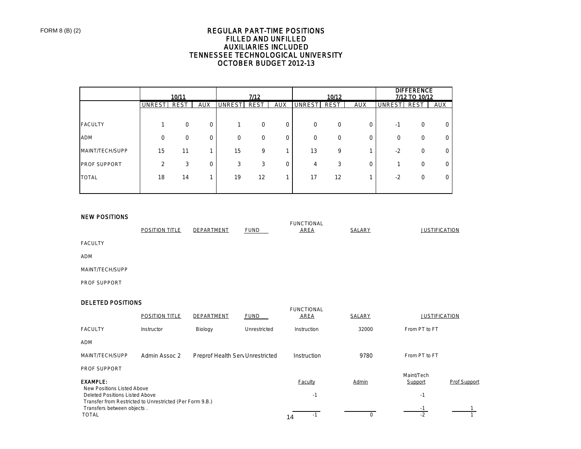### REGULAR PART-TIME POSITIONS FILLED AND UNFILLED AUXILIARIES INCLUDED TENNESSEE TECHNOLOGICAL UNIVERSITY OCTOBER BUDGET 2012-13

|                     |                | 10/11       |             |               | 7/12        |            |               | 10/12       |            |               | <b>DIFFERENCE</b><br>7/12 TO 10/12 |            |
|---------------------|----------------|-------------|-------------|---------------|-------------|------------|---------------|-------------|------------|---------------|------------------------------------|------------|
|                     | <b>UNRESTI</b> | <b>REST</b> | <b>AUX</b>  | <b>UNREST</b> | <b>REST</b> | <b>AUX</b> | <b>UNREST</b> | <b>REST</b> | <b>AUX</b> | <b>UNREST</b> | <b>REST</b>                        | <b>AUX</b> |
|                     |                |             |             |               |             |            |               |             |            |               |                                    |            |
| <b>FACULTY</b>      |                | $\Omega$    | $\mathbf 0$ |               | 0           | 0          | $\Omega$      | $\mathbf 0$ | 0          | $-1$          | 0                                  | 0          |
| <b>ADM</b>          | 0              | $\Omega$    | $\mathbf 0$ | $\Omega$      | 0           | 0          | $\Omega$      | $\Omega$    | 0          | $\Omega$      | 0                                  | 0          |
| MAINT/TECH/SUPP     | 15             | 11          |             | 15            | 9           |            | 13            | 9           |            | $-2$          | 0                                  | 0          |
| <b>PROF SUPPORT</b> | $\overline{2}$ | 3           | $\mathbf 0$ | 3             | 3           | U          | 4             | 3           | 0          |               | 0                                  | O          |
| <b>TOTAL</b>        | 18             | 14          |             | 19            | 12          |            | 17            | 12          |            | $-2$          | 0                                  | 0          |
|                     |                |             |             |               |             |            |               |             |            |               |                                    |            |

#### NEW POSITIONS

|                 | <b>POSITION TITLE</b> | DEPARTMENT | <b>FUND</b> | <b>FUNCTIONAL</b><br><b>AREA</b> | SALARY | <b>JUSTIFICATION</b> |
|-----------------|-----------------------|------------|-------------|----------------------------------|--------|----------------------|
| <b>FACULTY</b>  |                       |            |             |                                  |        |                      |
| <b>ADM</b>      |                       |            |             |                                  |        |                      |
| MAINT/TECH/SUPP |                       |            |             |                                  |        |                      |

PROF SUPPORT

### DELETED POSITIONS

|                                                                                        | POSITION TITLE | DEPARTMENT                       | <b>FUND</b>  | <b>FUNCTIONAL</b><br><b>AREA</b> | <b>SALARY</b> | <b>JUSTIFICATION</b> |              |
|----------------------------------------------------------------------------------------|----------------|----------------------------------|--------------|----------------------------------|---------------|----------------------|--------------|
| <b>FACULTY</b>                                                                         | Instructor     | Biology                          | Unrestricted | Instruction                      | 32000         | From PT to FT        |              |
| <b>ADM</b>                                                                             |                |                                  |              |                                  |               |                      |              |
| MAINT/TECH/SUPP                                                                        | Admin Assoc 2  | Preprof Health Serv Unrestricted |              | Instruction                      | 9780          | From PT to FT        |              |
| <b>PROF SUPPORT</b>                                                                    |                |                                  |              |                                  |               | Maint/Tech           |              |
| <b>EXAMPLE:</b><br>New Positions Listed Above                                          |                |                                  |              | <b>Faculty</b>                   | Admin         | Support              | Prof Support |
| Deleted Positions Listed Above                                                         |                |                                  |              | $-1$                             |               | $-1$                 |              |
| Transfer from Restricted to Unrestricted (Per Form 9.B.)<br>Transfers between objects. |                |                                  |              |                                  |               | - 1                  |              |
| <b>TOTAL</b>                                                                           |                |                                  |              | $-1$<br>14                       | 0             | $-2$                 |              |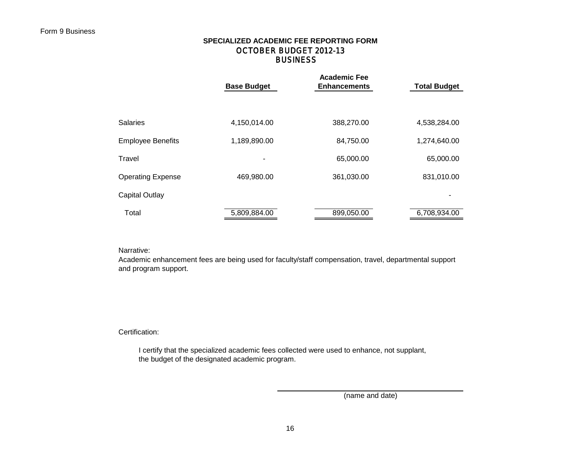## **BUSINESS SPECIALIZED ACADEMIC FEE REPORTING FORM** OCTOBER BUDGET 2012-13

|                          | <b>Base Budget</b> | <b>Academic Fee</b><br><b>Enhancements</b> | <b>Total Budget</b> |  |  |
|--------------------------|--------------------|--------------------------------------------|---------------------|--|--|
|                          |                    |                                            |                     |  |  |
| <b>Salaries</b>          | 4,150,014.00       | 388,270.00                                 | 4,538,284.00        |  |  |
| <b>Employee Benefits</b> | 1,189,890.00       | 84,750.00                                  | 1,274,640.00        |  |  |
| Travel                   |                    | 65,000.00                                  | 65,000.00           |  |  |
| <b>Operating Expense</b> | 469,980.00         | 361,030.00                                 | 831,010.00          |  |  |
| <b>Capital Outlay</b>    |                    |                                            |                     |  |  |
| Total                    | 5,809,884.00       | 899,050.00                                 | 6,708,934.00        |  |  |

### Narrative:

Academic enhancement fees are being used for faculty/staff compensation, travel, departmental support and program support.

### Certification:

 I certify that the specialized academic fees collected were used to enhance, not supplant, the budget of the designated academic program.

(name and date)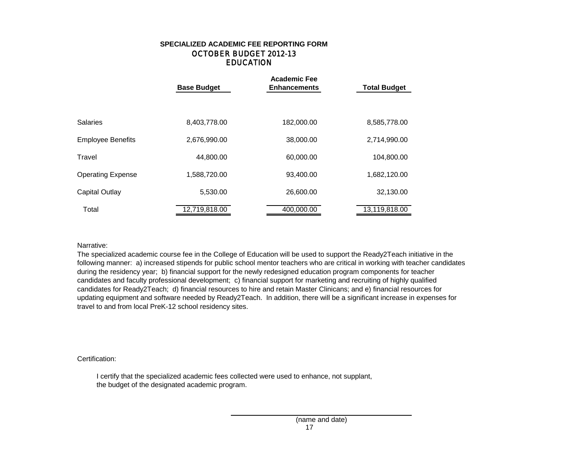## EDUCATION **SPECIALIZED ACADEMIC FEE REPORTING FORM** OCTOBER BUDGET 2012-13

|                          | <b>Academic Fee</b><br><b>Base Budget</b><br><b>Total Budget</b><br><b>Enhancements</b> |            |               |  |  |  |
|--------------------------|-----------------------------------------------------------------------------------------|------------|---------------|--|--|--|
|                          |                                                                                         |            |               |  |  |  |
| <b>Salaries</b>          | 8,403,778.00                                                                            | 182,000.00 | 8,585,778.00  |  |  |  |
| <b>Employee Benefits</b> | 2,676,990.00                                                                            | 38,000.00  | 2,714,990.00  |  |  |  |
| Travel                   | 44,800.00                                                                               | 60,000.00  | 104,800.00    |  |  |  |
| <b>Operating Expense</b> | 1,588,720.00                                                                            | 93,400.00  | 1,682,120.00  |  |  |  |
| <b>Capital Outlay</b>    | 5,530.00                                                                                | 26,600.00  | 32,130.00     |  |  |  |
| Total                    | 12,719,818.00                                                                           | 400,000.00 | 13,119,818.00 |  |  |  |

### Narrative:

The specialized academic course fee in the College of Education will be used to support the Ready2Teach initiative in the following manner: a) increased stipends for public school mentor teachers who are critical in working with teacher candidates during the residency year; b) financial support for the newly redesigned education program components for teacher candidates and faculty professional development; c) financial support for marketing and recruiting of highly qualified candidates for Ready2Teach; d) financial resources to hire and retain Master Clinicans; and e) financial resources for updating equipment and software needed by Ready2Teach. In addition, there will be a significant increase in expenses for travel to and from local PreK-12 school residency sites.

### Certification:

 I certify that the specialized academic fees collected were used to enhance, not supplant, the budget of the designated academic program.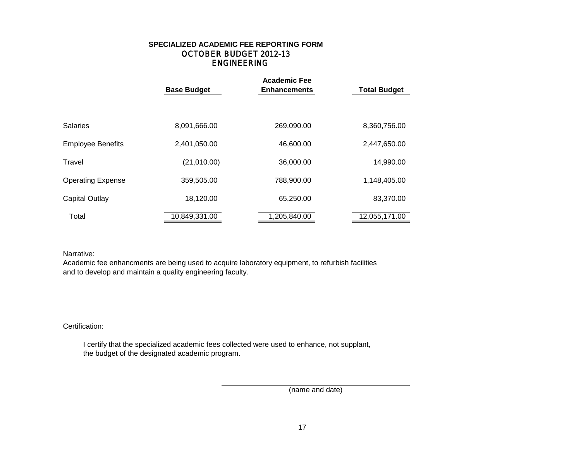## ENGINEERING **SPECIALIZED ACADEMIC FEE REPORTING FORM** OCTOBER BUDGET 2012-13

|                          | <b>Base Budget</b> | <b>Academic Fee</b><br><b>Enhancements</b> | <b>Total Budget</b> |
|--------------------------|--------------------|--------------------------------------------|---------------------|
| Salaries                 | 8,091,666.00       | 269,090.00                                 | 8,360,756.00        |
| <b>Employee Benefits</b> | 2,401,050.00       | 46,600.00                                  | 2,447,650.00        |
| Travel                   | (21,010.00)        | 36,000.00                                  | 14,990.00           |
| <b>Operating Expense</b> | 359,505.00         | 788,900.00                                 | 1,148,405.00        |
| Capital Outlay           | 18,120.00          | 65,250.00                                  | 83,370.00           |
| Total                    | 10,849,331.00      | 1,205,840.00                               | 12,055,171.00       |

Narrative:

Academic fee enhancments are being used to acquire laboratory equipment, to refurbish facilities and to develop and maintain a quality engineering faculty.

Certification:

 I certify that the specialized academic fees collected were used to enhance, not supplant, the budget of the designated academic program.

(name and date)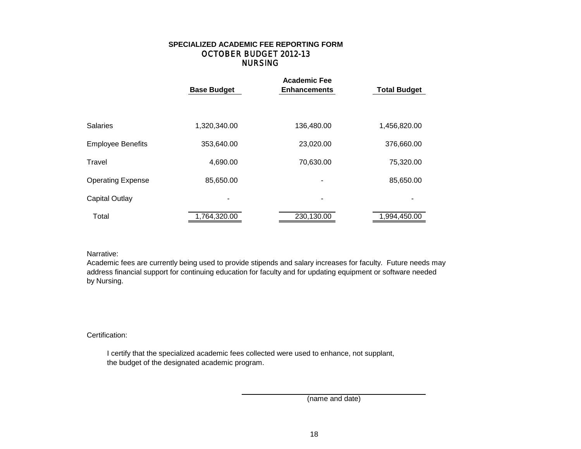## NURSING **SPECIALIZED ACADEMIC FEE REPORTING FORM** OCTOBER BUDGET 2012-13

|                          | <b>Academic Fee</b><br><b>Base Budget</b><br><b>Total Budget</b><br><b>Enhancements</b> |                |              |  |  |  |
|--------------------------|-----------------------------------------------------------------------------------------|----------------|--------------|--|--|--|
|                          |                                                                                         |                |              |  |  |  |
| <b>Salaries</b>          | 1,320,340.00                                                                            | 136,480.00     | 1,456,820.00 |  |  |  |
| <b>Employee Benefits</b> | 353,640.00                                                                              | 23,020.00      | 376,660.00   |  |  |  |
| Travel                   | 4,690.00                                                                                | 70,630.00      | 75,320.00    |  |  |  |
| <b>Operating Expense</b> | 85,650.00                                                                               | ۰              | 85,650.00    |  |  |  |
| Capital Outlay           | $\blacksquare$                                                                          | $\blacksquare$ |              |  |  |  |
| Total                    | 1,764,320.00                                                                            | 230,130.00     | 1,994,450.00 |  |  |  |

### Narrative:

Academic fees are currently being used to provide stipends and salary increases for faculty. Future needs may address financial support for continuing education for faculty and for updating equipment or software needed by Nursing.

### Certification:

 I certify that the specialized academic fees collected were used to enhance, not supplant, the budget of the designated academic program.

(name and date)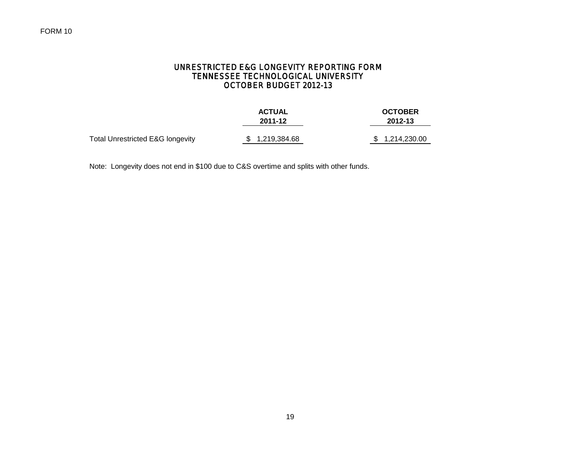## UNRESTRICTED E&G LONGEVITY REPORTING FORM TENNESSEE TECHNOLOGICAL UNIVERSITY OCTOBER BUDGET 2012-13

|                                             | <b>ACTUAL</b>  | <b>OCTOBER</b> |
|---------------------------------------------|----------------|----------------|
|                                             | 2011-12        | 2012-13        |
| <b>Total Unrestricted E&amp;G longevity</b> | \$1,219,384.68 | \$1,214,230.00 |

Note: Longevity does not end in \$100 due to C&S overtime and splits with other funds.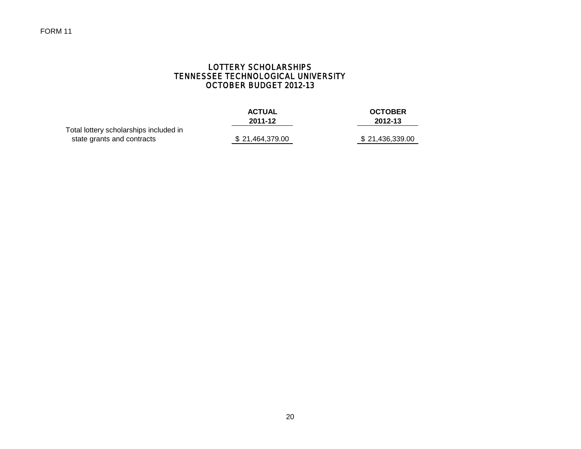# LOTTERY SCHOLARSHIPS TENNESSEE TECHNOLOGICAL UNIVERSITY OCTOBER BUDGET 2012-13

|                                        | <b>ACTUAL</b>   | <b>OCTOBER</b>  |
|----------------------------------------|-----------------|-----------------|
|                                        | 2011-12         | 2012-13         |
| Total lottery scholarships included in |                 |                 |
| state grants and contracts             | \$21,464,379.00 | \$21,436,339.00 |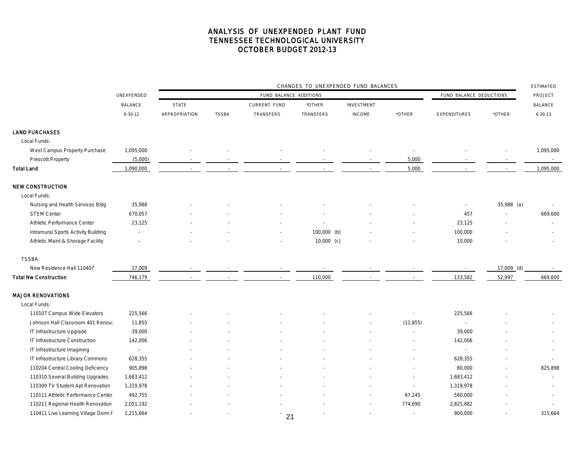|                                     |                | CHANGES TO UNEXPENDED FUND BALANCES |              |                        |                         |                   |           |                          |              |                |  |
|-------------------------------------|----------------|-------------------------------------|--------------|------------------------|-------------------------|-------------------|-----------|--------------------------|--------------|----------------|--|
|                                     | UNEXPENDED     |                                     |              | FUND BALANCE ADDITIONS | FUND BALANCE DEDUCTIONS |                   | PROJECT   |                          |              |                |  |
|                                     | <b>BALANCE</b> | <b>STATE</b>                        |              | CURRENT FUND           | *OTHER                  | <b>INVESTMENT</b> |           |                          |              | <b>BALANCE</b> |  |
|                                     | $6 - 30 - 12$  | APPROPRIATION                       | <b>TSSBA</b> | TRANSFERS              | TRANSFERS               | <b>INCOME</b>     | *OTHER    | <b>EXPENDITURES</b>      | *OTHER       | $6 - 30 - 13$  |  |
| <b>LAND PURCHASES</b>               |                |                                     |              |                        |                         |                   |           |                          |              |                |  |
| Local Funds:                        |                |                                     |              |                        |                         |                   |           |                          |              |                |  |
| West Campus Property Purchase       | 1,095,000      |                                     |              |                        |                         |                   |           |                          |              | 1,095,000      |  |
| Prescott Property                   | (5,000)        |                                     |              |                        |                         |                   | 5,000     |                          |              |                |  |
| Total Land                          | 1,090,000      |                                     |              |                        |                         |                   | 5,000     |                          | $\sim$       | 1,095,000      |  |
| <b>NEW CONSTRUCTION</b>             |                |                                     |              |                        |                         |                   |           |                          |              |                |  |
| Local Funds:                        |                |                                     |              |                        |                         |                   |           |                          |              |                |  |
| Nursing and Health Services Bldg    | 35,988         |                                     |              |                        |                         |                   |           | $\overline{\phantom{a}}$ | 35,988 (a)   |                |  |
| <b>STEM Center</b>                  | 670,057        |                                     |              |                        |                         |                   |           | 457                      |              | 669,600        |  |
| Athletic Performance Center         | 23,125         |                                     |              |                        |                         |                   |           | 23,125                   |              |                |  |
| Intramural Sports Activity Building | ÷,             |                                     |              |                        | 100,000 (b)             |                   |           | 100,000                  |              |                |  |
| Athletic Maint & Shorage Facility   |                |                                     |              |                        | $10,000$ (c)            |                   |           | 10,000                   |              |                |  |
| TSSBA:                              |                |                                     |              |                        |                         |                   |           |                          |              |                |  |
| New Residence Hall 110407           | 17,009         |                                     |              |                        |                         |                   |           |                          | $17,009$ (d) |                |  |
| <b>Total Nw Construction</b>        | 746,179        |                                     |              |                        | 110,000                 |                   |           | 133,582                  | 52,997       | 669,600        |  |
| <b>MAJOR RENOVATIONS</b>            |                |                                     |              |                        |                         |                   |           |                          |              |                |  |
| Local Funds:                        |                |                                     |              |                        |                         |                   |           |                          |              |                |  |
| 110107 Campus Wide Elevators        | 225,566        |                                     |              |                        |                         |                   |           | 225,566                  |              |                |  |
| Johnson Hall Classroom 401 Renova   | 11,855         |                                     |              |                        |                         |                   | (11, 855) |                          |              |                |  |
| IT Infrastructure Upgrade           | 39,000         |                                     |              |                        |                         |                   |           | 39,000                   |              |                |  |
| IT Infrastructure Construction      | 142,006        |                                     |              |                        |                         |                   |           | 142,006                  |              |                |  |
| IT Infrastructure Imagining         | $\sim$         |                                     |              |                        |                         |                   |           | $\sim$                   |              |                |  |
| IT Infrastructure Library Commons   | 628,355        |                                     |              |                        |                         |                   |           | 628,355                  |              |                |  |
| 110204 Central Cooling Deficiency   | 905,898        |                                     |              |                        |                         |                   |           | 80,000                   |              | 825,898        |  |
| 110310 Several Building Upgrades    | 1,683,412      |                                     |              |                        |                         |                   |           | 1,683,412                |              |                |  |
| 110309 TV Student Apt Renovation    | 1,319,978      |                                     |              |                        |                         |                   |           | 1,319,978                |              |                |  |
| 110111 Athletic Performance Center  | 492,755        |                                     |              |                        |                         |                   | 67,245    | 560,000                  |              |                |  |
| 110211 Regional Health Renovation   | 2,051,192      |                                     |              |                        |                         |                   | 774,690   | 2,825,882                |              |                |  |
| 110411 Live Learning Village Dorm F | 1,215,664      |                                     |              | 21                     |                         |                   |           | 900,000                  |              | 315,664        |  |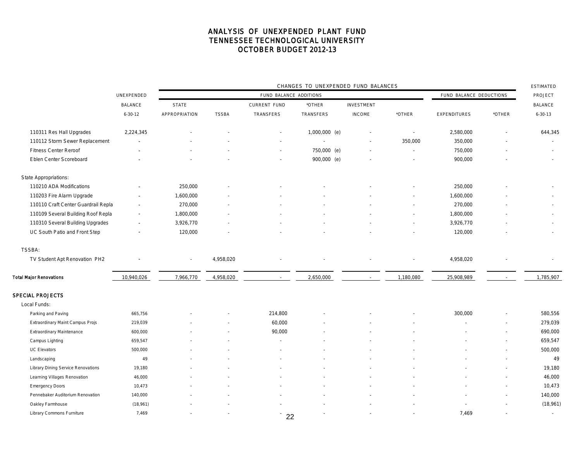|                                     |                                      | CHANGES TO UNEXPENDED FUND BALANCES |              |                     |                  |                   |                          |                         |                          |                          |  |
|-------------------------------------|--------------------------------------|-------------------------------------|--------------|---------------------|------------------|-------------------|--------------------------|-------------------------|--------------------------|--------------------------|--|
|                                     | UNEXPENDED<br>FUND BALANCE ADDITIONS |                                     |              |                     |                  |                   |                          | FUND BALANCE DEDUCTIONS |                          | PROJECT                  |  |
|                                     | <b>BALANCE</b>                       | <b>STATE</b>                        |              | <b>CURRENT FUND</b> | *OTHER           | <b>INVESTMENT</b> |                          |                         |                          | <b>BALANCE</b>           |  |
|                                     | $6 - 30 - 12$                        | APPROPRIATION                       | <b>TSSBA</b> | <b>TRANSFERS</b>    | <b>TRANSFERS</b> | <b>INCOME</b>     | *OTHER                   | <b>EXPENDITURES</b>     | *OTHER                   | $6 - 30 - 13$            |  |
| 110311 Res Hall Upgrades            | 2,224,345                            |                                     |              |                     | 1,000,000 (e)    |                   | $\overline{\phantom{a}}$ | 2,580,000               | $\overline{\phantom{a}}$ | 644,345                  |  |
| 110112 Storm Sewer Replacement      |                                      |                                     |              |                     |                  |                   | 350,000                  | 350,000                 |                          |                          |  |
| <b>Fitness Center Reroof</b>        |                                      |                                     |              |                     | 750,000 (e)      |                   | $\sim$                   | 750,000                 |                          | $\overline{\phantom{a}}$ |  |
| Eblen Center Scoreboard             |                                      |                                     |              |                     | 900,000 (e)      |                   |                          | 900,000                 |                          |                          |  |
| State Appropriations:               |                                      |                                     |              |                     |                  |                   |                          |                         |                          |                          |  |
| 110210 ADA Modifications            |                                      | 250,000                             |              |                     |                  |                   |                          | 250,000                 |                          |                          |  |
| 110203 Fire Alarm Upgrade           |                                      | 1,600,000                           |              |                     |                  |                   |                          | 1,600,000               |                          |                          |  |
| 110110 Craft Center Guardrail Repla |                                      | 270,000                             |              |                     |                  |                   |                          | 270,000                 |                          |                          |  |
| 110109 Several Building Roof Repla  |                                      | 1,800,000                           |              |                     |                  |                   |                          | 1,800,000               |                          |                          |  |
| 110310 Several Building Upgrades    |                                      | 3,926,770                           |              |                     |                  |                   |                          | 3,926,770               |                          | $\overline{\phantom{a}}$ |  |
| UC South Patio and Front Step       |                                      | 120,000                             |              |                     |                  |                   |                          | 120,000                 |                          |                          |  |
| <b>TSSBA:</b>                       |                                      |                                     |              |                     |                  |                   |                          |                         |                          |                          |  |
| TV Student Apt Renovation PH2       |                                      | $\overline{\phantom{a}}$            | 4,958,020    |                     |                  |                   |                          | 4,958,020               |                          |                          |  |
| <b>Total Major Renovations</b>      | 10,940,026                           | 7,966,770                           | 4,958,020    |                     | 2,650,000        |                   | 1,180,080                | 25,908,989              |                          | 1,785,907                |  |
| <b>SPECIAL PROJECTS</b>             |                                      |                                     |              |                     |                  |                   |                          |                         |                          |                          |  |
| Local Funds:                        |                                      |                                     |              |                     |                  |                   |                          |                         |                          |                          |  |
| Parking and Paving                  | 665,756                              |                                     |              | 214,800             |                  |                   |                          | 300,000                 |                          | 580,556                  |  |
| Extraordinary Maint Campus Projs    | 219,039                              |                                     |              | 60,000              |                  |                   |                          |                         | $\overline{\phantom{a}}$ | 279,039                  |  |
| <b>Extraordinary Maintenance</b>    | 600,000                              |                                     |              | 90,000              |                  |                   |                          |                         | $\overline{\phantom{a}}$ | 690,000                  |  |
| Campus Lighting                     | 659,547                              |                                     |              |                     |                  |                   |                          |                         | $\overline{a}$           | 659,547                  |  |
| <b>UC Elevators</b>                 | 500,000                              |                                     |              |                     |                  |                   |                          |                         | ٠                        | 500,000                  |  |
| Landscaping                         | 49                                   |                                     |              |                     |                  |                   |                          |                         | $\overline{a}$           | 49                       |  |
| Library Dining Service Renovations  | 19,180                               |                                     |              |                     |                  |                   |                          |                         | $\overline{a}$           | 19,180                   |  |
| Learning Villages Renovation        | 46,000                               |                                     |              |                     |                  |                   |                          |                         | ٠                        | 46,000                   |  |
| <b>Emergency Doors</b>              | 10,473                               |                                     |              |                     |                  |                   |                          |                         | ٠                        | 10,473                   |  |
| Pennebaker Auditorium Renovation    | 140,000                              |                                     |              |                     |                  |                   |                          |                         | $\blacksquare$           | 140,000                  |  |
| Oakley Farmhouse                    | (18,961)                             |                                     |              |                     |                  |                   |                          |                         |                          | (18,961)                 |  |
| Library Commons Furniture           | 7,469                                |                                     |              | $\frac{1}{2}$       |                  |                   |                          | 7,469                   | $\blacksquare$           | $\sim$                   |  |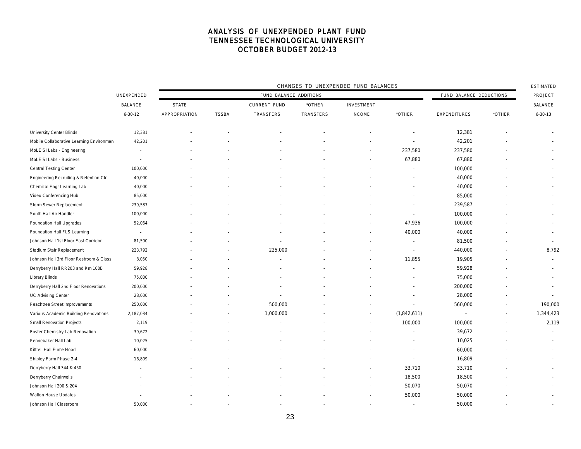|                                          |                          | CHANGES TO UNEXPENDED FUND BALANCES |              |                     |           |                   |                          |                          |        |                          |  |
|------------------------------------------|--------------------------|-------------------------------------|--------------|---------------------|-----------|-------------------|--------------------------|--------------------------|--------|--------------------------|--|
|                                          | UNEXPENDED               | FUND BALANCE ADDITIONS              |              |                     |           |                   |                          | FUND BALANCE DEDUCTIONS  |        |                          |  |
|                                          | <b>BALANCE</b>           | <b>STATE</b>                        |              | <b>CURRENT FUND</b> | *OTHER    | <b>INVESTMENT</b> |                          |                          |        | <b>BALANCE</b>           |  |
|                                          | $6 - 30 - 12$            | APPROPRIATION                       | <b>TSSBA</b> | TRANSFERS           | TRANSFERS | <b>INCOME</b>     | *OTHER                   | <b>EXPENDITURES</b>      | *OTHER | $6 - 30 - 13$            |  |
| <b>University Center Blinds</b>          | 12,381                   |                                     |              |                     |           |                   |                          | 12,381                   |        |                          |  |
| Mobile Collaborative Learning Environmen | 42,201                   |                                     |              |                     |           |                   | $\overline{a}$           | 42,201                   |        |                          |  |
| MoLE SI Labs - Engineering               | $\overline{\phantom{a}}$ |                                     |              |                     |           |                   | 237,580                  | 237,580                  |        |                          |  |
| MoLE SI Labs - Business                  | $\overline{\phantom{a}}$ |                                     |              |                     |           |                   | 67,880                   | 67,880                   |        |                          |  |
| <b>Central Testing Center</b>            | 100,000                  |                                     |              |                     |           |                   |                          | 100,000                  |        |                          |  |
| Engineering Recruiting & Retention Ctr   | 40,000                   |                                     |              |                     |           |                   |                          | 40,000                   |        |                          |  |
| Chemical Engr Learning Lab               | 40,000                   |                                     |              |                     |           |                   |                          | 40,000                   |        |                          |  |
| Video Conferencing Hub                   | 85,000                   |                                     |              |                     |           |                   |                          | 85,000                   |        |                          |  |
| Storm Sewer Replacement                  | 239,587                  |                                     |              |                     |           |                   |                          | 239,587                  |        |                          |  |
| South Hall Air Handler                   | 100,000                  |                                     |              |                     |           |                   | $\overline{a}$           | 100,000                  |        |                          |  |
| Foundation Hall Upgrades                 | 52,064                   |                                     |              |                     |           |                   | 47,936                   | 100,000                  |        |                          |  |
| Foundation Hall FLS Learning             | $\overline{\phantom{a}}$ |                                     |              |                     |           |                   | 40,000                   | 40,000                   |        |                          |  |
| Johnson Hall 1st Floor East Corridor     | 81,500                   |                                     |              |                     |           |                   | $\overline{\phantom{a}}$ | 81,500                   |        | $\overline{\phantom{a}}$ |  |
| Stadium Stair Replacement                | 223,792                  |                                     |              | 225,000             |           |                   | ÷                        | 440,000                  |        | 8,792                    |  |
| Johnson Hall 3rd Floor Restroom & Class  | 8,050                    |                                     |              |                     |           |                   | 11,855                   | 19,905                   |        | $\sim$                   |  |
| Derryberry Hall RR203 and Rm 100B        | 59,928                   |                                     |              |                     |           |                   |                          | 59,928                   |        | $\overline{\phantom{a}}$ |  |
| Library Blinds                           | 75,000                   |                                     |              |                     |           |                   |                          | 75,000                   |        |                          |  |
| Derryberry Hall 2nd Floor Renovations    | 200,000                  |                                     |              |                     |           |                   |                          | 200,000                  |        |                          |  |
| UC Advising Center                       | 28,000                   |                                     |              |                     |           |                   |                          | 28,000                   |        |                          |  |
| Peachtree Street Improvements            | 250,000                  |                                     |              | 500,000             |           |                   |                          | 560,000                  |        | 190,000                  |  |
| Various Academic Building Renovations    | 2,187,034                |                                     |              | 1,000,000           |           |                   | (1,842,611)              | $\overline{\phantom{a}}$ | $\sim$ | 1,344,423                |  |
| Small Renovation Projects                | 2,119                    |                                     |              |                     |           |                   | 100,000                  | 100,000                  |        | 2,119                    |  |
| Foster Chemistry Lab Renovation          | 39,672                   |                                     |              |                     |           |                   |                          | 39,672                   |        |                          |  |
| Pennebaker Hall Lab                      | 10,025                   |                                     |              |                     |           |                   |                          | 10,025                   |        |                          |  |
| Kittrell Hall Fume Hood                  | 60,000                   |                                     |              |                     |           |                   | $\overline{\phantom{a}}$ | 60,000                   |        |                          |  |
| Shipley Farm Phase 2-4                   | 16,809                   |                                     |              |                     |           |                   | $\sim$                   | 16,809                   |        |                          |  |
| Derryberry Hall 344 & 450                |                          |                                     |              |                     |           |                   | 33,710                   | 33,710                   |        |                          |  |
| Derryberry Chairwells                    |                          |                                     |              |                     |           |                   | 18,500                   | 18,500                   |        |                          |  |
| Johnson Hall 200 & 204                   |                          |                                     |              |                     |           |                   | 50,070                   | 50,070                   |        |                          |  |
| Walton House Updates                     |                          |                                     |              |                     |           |                   | 50,000                   | 50,000                   |        |                          |  |
| Johnson Hall Classroom                   | 50,000                   |                                     |              |                     |           |                   | $\overline{\phantom{a}}$ | 50,000                   |        |                          |  |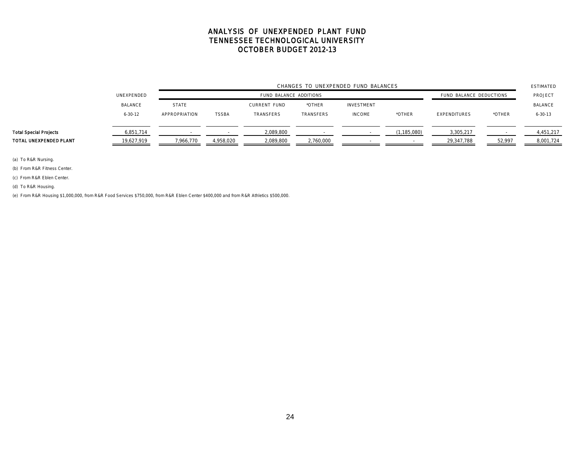|                               |                | CHANGES TO UNEXPENDED FUND BALANCES |                        |                     |           |                   |               |                     |        |                |
|-------------------------------|----------------|-------------------------------------|------------------------|---------------------|-----------|-------------------|---------------|---------------------|--------|----------------|
|                               | UNEXPENDED     |                                     | FUND BALANCE ADDITIONS |                     |           |                   |               |                     |        | PROJECT        |
|                               | <b>BALANCE</b> | <b>STATE</b>                        |                        | <b>CURRENT FUND</b> | *OTHER    | <b>INVESTMENT</b> |               |                     |        | <b>BALANCE</b> |
|                               | $6 - 30 - 12$  | APPROPRIATION                       | <b>TSSBA</b>           | TRANSFERS           | TRANSFERS | <b>INCOME</b>     | *OTHER        | <b>EXPENDITURES</b> | *OTHER | $6 - 30 - 13$  |
|                               |                |                                     |                        |                     |           |                   |               |                     |        |                |
| <b>Total Special Projects</b> | 6,851,714      |                                     |                        | 2,089,800           |           |                   | (1, 185, 080) | 3,305,217           |        | 4,451,217      |
| TOTAL UNEXPENDED PLANT        | 19,627,919     | 7,966,770                           | 4,958,020              | 2,089,800           | 2,760,000 |                   |               | 29,347,788          | 52,997 | 8,001,724      |

(a) To R&R Nursing.

(b) From R&R Fitness Center.

(c) From R&R Eblen Center.

(d) To R&R Housing.

(e) From R&R Housing \$1,000,000, from R&R Food Services \$750,000, from R&R Eblen Center \$400,000 and from R&R Athletics \$500,000.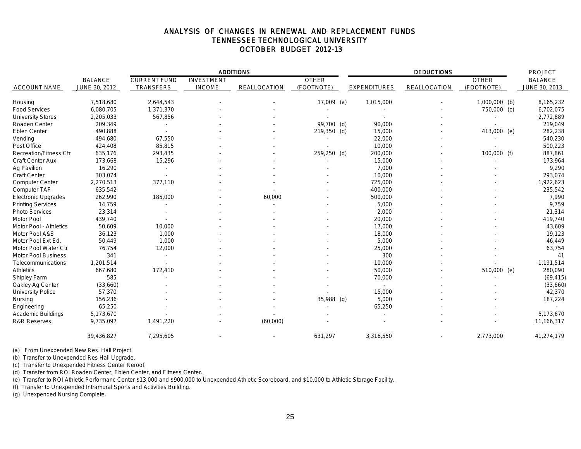### ANALYSIS OF CHANGES IN RENEWAL AND REPLACEMENT FUNDS TENNESSEE TECHNOLOGICAL UNIVERSITY OCTOBER BUDGET 2012-13

|                               |                |                     |                   | <b>ADDITIONS</b>    |              |                     | <b>PROJECT</b> |               |                |
|-------------------------------|----------------|---------------------|-------------------|---------------------|--------------|---------------------|----------------|---------------|----------------|
|                               | <b>BALANCE</b> | <b>CURRENT FUND</b> | <b>INVESTMENT</b> |                     | <b>OTHER</b> |                     |                | <b>OTHER</b>  | <b>BALANCE</b> |
| <b>ACCOUNT NAME</b>           | JUNE 30, 2012  | <b>TRANSFERS</b>    | <b>INCOME</b>     | <b>REALLOCATION</b> | (FOOTNOTE)   | <b>EXPENDITURES</b> | REALLOCATION   | (FOOTNOTE)    | JUNE 30, 2013  |
| Housing                       | 7,518,680      | 2,644,543           |                   |                     | 17,009 (a)   | 1,015,000           |                | 1,000,000 (b) | 8,165,232      |
| <b>Food Services</b>          | 6,080,705      | 1,371,370           |                   |                     |              |                     |                | 750,000 (c)   | 6,702,075      |
| <b>University Stores</b>      | 2,205,033      | 567,856             |                   |                     |              |                     |                |               | 2,772,889      |
| Roaden Center                 | 209,349        |                     |                   |                     | 99,700 (d)   | 90,000              |                |               | 219,049        |
| <b>Eblen Center</b>           | 490,888        |                     |                   |                     | 219,350 (d)  | 15,000              |                | 413,000 (e)   | 282,238        |
| Vending                       | 494,680        | 67,550              |                   |                     |              | 22,000              |                |               | 540,230        |
| Post Office                   | 424,408        | 85,815              |                   |                     |              | 10,000              |                |               | 500,223        |
| <b>Recreation/Fitness Ctr</b> | 635,176        | 293,435             |                   |                     | 259,250 (d)  | 200,000             |                | 100,000 (f)   | 887,861        |
| Craft Center Aux              | 173,668        | 15,296              |                   |                     |              | 15,000              |                |               | 173,964        |
| Ag Pavilion                   | 16,290         |                     |                   |                     |              | 7,000               |                |               | 9,290          |
| <b>Craft Center</b>           | 303,074        |                     |                   |                     |              | 10,000              |                |               | 293,074        |
| Computer Center               | 2,270,513      | 377,110             |                   |                     |              | 725,000             |                |               | 1,922,623      |
| Computer TAF                  | 635,542        |                     |                   |                     |              | 400,000             |                |               | 235,542        |
| <b>Electronic Upgrades</b>    | 262,990        | 185,000             |                   | 60,000              |              | 500,000             |                |               | 7,990          |
| <b>Printing Services</b>      | 14,759         |                     |                   |                     |              | 5,000               |                |               | 9,759          |
| <b>Photo Services</b>         | 23,314         |                     |                   |                     |              | 2,000               |                |               | 21,314         |
| <b>Motor Pool</b>             | 439,740        |                     |                   |                     |              | 20,000              |                |               | 419,740        |
| Motor Pool - Athletics        | 50,609         | 10,000              |                   |                     |              | 17,000              |                |               | 43,609         |
| Motor Pool A&S                | 36,123         | 1,000               |                   |                     |              | 18,000              |                |               | 19,123         |
| Motor Pool Ext Ed.            | 50,449         | 1,000               |                   |                     |              | 5,000               |                |               | 46,449         |
| Motor Pool Water Ctr          | 76,754         | 12,000              |                   |                     |              | 25,000              |                |               | 63,754         |
| <b>Motor Pool Business</b>    | 341            |                     |                   |                     |              | 300                 |                |               | 41             |
| Telecommunications            | 1,201,514      |                     |                   |                     |              | 10,000              |                |               | 1,191,514      |
| <b>Athletics</b>              | 667,680        | 172,410             |                   |                     |              | 50,000              |                | 510,000 (e)   | 280,090        |
| Shipley Farm                  | 585            |                     |                   |                     |              | 70,000              |                |               | (69, 415)      |
| Oakley Ag Center              | (33,660)       |                     |                   |                     |              |                     |                |               | (33,660)       |
| <b>University Police</b>      | 57,370         |                     |                   |                     |              | 15,000              |                |               | 42,370         |
| Nursing                       | 156,236        |                     |                   |                     | 35,988 (g)   | 5,000               |                |               | 187,224        |
| Engineering                   | 65,250         |                     |                   |                     |              | 65,250              |                |               |                |
| <b>Academic Buildings</b>     | 5,173,670      |                     |                   |                     |              |                     |                |               | 5,173,670      |
| <b>R&amp;R Reserves</b>       | 9,735,097      | 1,491,220           |                   | (60,000)            |              |                     |                |               | 11,166,317     |
|                               | 39,436,827     | 7,295,605           |                   |                     | 631,297      | 3,316,550           |                | 2,773,000     | 41,274,179     |

(a) From Unexpended New Res. Hall Project.

(b) Transfer to Unexpended Res Hall Upgrade.

(c) Transfer to Unexpended Fitness Center Reroof.

(d) Transfer from ROI Roaden Center, Eblen Center, and Fitness Center.

(e) Transfer to ROI Athletic Performanc Center \$13,000 and \$900,000 to Unexpended Athletic Scoreboard, and \$10,000 to Athletic Storage Facility.

(f) Transfer to Unexpended Intramural Sports and Activities Building.

(g) Unexpended Nursing Complete.